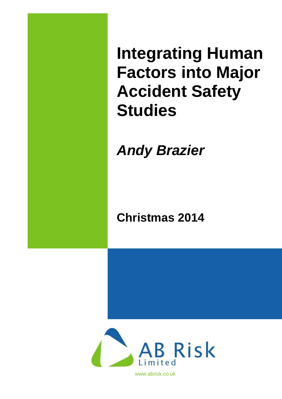**Integrating Human Factors into Major Accident Safety Studies**

*Andy Brazier* 

**Christmas 2014**



www.abrisk.co.uk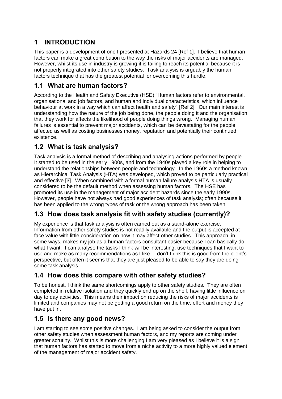# **1 INTRODUCTION**

This paper is a development of one I presented at Hazards 24 [Ref 1]. I believe that human factors can make a great contribution to the way the risks of major accidents are managed. However, whilst its use in industry is growing it is failing to reach its potential because it is not properly integrated into other safety studies. Task analysis is arguably the human factors technique that has the greatest potential for overcoming this hurdle.

## **1.1 What are human factors?**

According to the Health and Safety Executive (HSE) "Human factors refer to environmental, organisational and job factors, and human and individual characteristics, which influence behaviour at work in a way which can affect health and safety" [Ref 2]. Our main interest is understanding how the nature of the job being done, the people doing it and the organisation that they work for affects the likelihood of people doing things wrong. Managing human failures is essential to prevent major accidents, which can be devastating for the people affected as well as costing businesses money, reputation and potentially their continued existence.

## **1.2 What is task analysis?**

Task analysis is a formal method of describing and analysing actions performed by people. It started to be used in the early 1900s, and from the 1940s played a key role in helping to understand the relationships between people and technology. In the 1960s a method known as Hierarchical Task Analysis (HTA) was developed, which proved to be particularly practical and effective [3]. When combined with a formal human failure analysis HTA is usually considered to be the default method when assessing human factors. The HSE has promoted its use in the management of major accident hazards since the early 1990s. However, people have not always had good experiences of task analysis; often because it has been applied to the wrong types of task or the wrong approach has been taken.

## **1.3 How does task analysis fit with safety studies (currently)?**

My experience is that task analysis is often carried out as a stand-alone exercise. Information from other safety studies is not readily available and the output is accepted at face value with little consideration on how it may affect other studies. This approach, in some ways, makes my job as a human factors consultant easier because I can basically do what I want. I can analyse the tasks I think will be interesting, use techniques that I want to use and make as many recommendations as I like. I don't think this is good from the client's perspective, but often it seems that they are just pleased to be able to say they are doing some task analysis.

## **1.4 How does this compare with other safety studies?**

To be honest, I think the same shortcomings apply to other safety studies. They are often completed in relative isolation and they quickly end up on the shelf, having little influence on day to day activities. This means their impact on reducing the risks of major accidents is limited and companies may not be getting a good return on the time, effort and money they have put in.

## **1.5 Is there any good news?**

I am starting to see some positive changes. I am being asked to consider the output from other safety studies when assessment human factors, and my reports are coming under greater scrutiny. Whilst this is more challenging I am very pleased as I believe it is a sign that human factors has started to move from a niche activity to a more highly valued element of the management of major accident safety.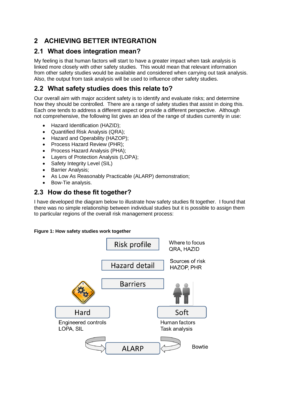# **2 ACHIEVING BETTER INTEGRATION**

## **2.1 What does integration mean?**

My feeling is that human factors will start to have a greater impact when task analysis is linked more closely with other safety studies. This would mean that relevant information from other safety studies would be available and considered when carrying out task analysis. Also, the output from task analysis will be used to influence other safety studies.

## **2.2 What safety studies does this relate to?**

Our overall aim with major accident safety is to identify and evaluate risks; and determine how they should be controlled. There are a range of safety studies that assist in doing this. Each one tends to address a different aspect or provide a different perspective. Although not comprehensive, the following list gives an idea of the range of studies currently in use:

- Hazard Identification (HAZID);
- Quantified Risk Analysis (QRA);
- Hazard and Operability (HAZOP);
- Process Hazard Review (PHR);
- Process Hazard Analysis (PHA);
- Layers of Protection Analysis (LOPA);
- Safety Integrity Level (SIL)
- Barrier Analysis:
- As Low As Reasonably Practicable (ALARP) demonstration;
- Bow-Tie analysis.

## **2.3 How do these fit together?**

I have developed the diagram below to illustrate how safety studies fit together. I found that there was no simple relationship between individual studies but it is possible to assign them to particular regions of the overall risk management process:

#### **Figure 1: How safety studies work together**

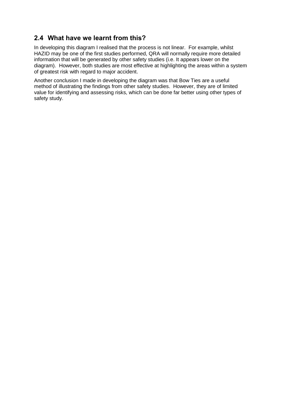## **2.4 What have we learnt from this?**

In developing this diagram I realised that the process is not linear. For example, whilst HAZID may be one of the first studies performed, QRA will normally require more detailed information that will be generated by other safety studies (i.e. It appears lower on the diagram). However, both studies are most effective at highlighting the areas within a system of greatest risk with regard to major accident.

Another conclusion I made in developing the diagram was that Bow Ties are a useful method of illustrating the findings from other safety studies. However, they are of limited value for identifying and assessing risks, which can be done far better using other types of safety study.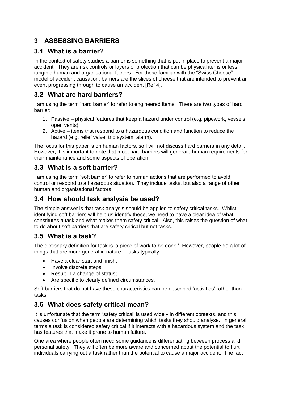# **3 ASSESSING BARRIERS**

## **3.1 What is a barrier?**

In the context of safety studies a barrier is something that is put in place to prevent a major accident. They are risk controls or layers of protection that can be physical items or less tangible human and organisational factors. For those familiar with the "Swiss Cheese" model of accident causation, barriers are the slices of cheese that are intended to prevent an event progressing through to cause an accident [Ref 4].

## **3.2 What are hard barriers?**

I am using the term 'hard barrier' to refer to engineered items. There are two types of hard barrier:

- 1. Passive physical features that keep a hazard under control (e.g. pipework, vessels, open vents);
- 2. Active items that respond to a hazardous condition and function to reduce the hazard (e.g. relief valve, trip system, alarm).

The focus for this paper is on human factors, so I will not discuss hard barriers in any detail. However, it is important to note that most hard barriers will generate human requirements for their maintenance and some aspects of operation.

## **3.3 What is a soft barrier?**

I am using the term 'soft barrier' to refer to human actions that are performed to avoid, control or respond to a hazardous situation. They include tasks, but also a range of other human and organisational factors.

## **3.4 How should task analysis be used?**

The simple answer is that task analysis should be applied to safety critical tasks. Whilst identifying soft barriers will help us identify these, we need to have a clear idea of what constitutes a task and what makes them safety critical. Also, this raises the question of what to do about soft barriers that are safety critical but not tasks.

## **3.5 What is a task?**

The dictionary definition for task is 'a piece of work to be done.' However, people do a lot of things that are more general in nature. Tasks typically:

- Have a clear start and finish;
- Involve discrete steps:
- Result in a change of status;
- Are specific to clearly defined circumstances.

Soft barriers that do not have these characteristics can be described 'activities' rather than tasks.

## **3.6 What does safety critical mean?**

It is unfortunate that the term 'safety critical' is used widely in different contexts, and this causes confusion when people are determining which tasks they should analyse. In general terms a task is considered safety critical if it interacts with a hazardous system and the task has features that make it prone to human failure.

One area where people often need some guidance is differentiating between process and personal safety. They will often be more aware and concerned about the potential to hurt individuals carrying out a task rather than the potential to cause a major accident. The fact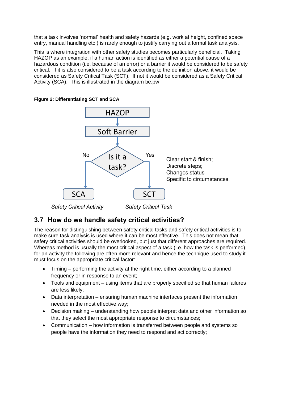that a task involves 'normal' health and safety hazards (e.g. work at height, confined space entry, manual handling etc.) is rarely enough to justify carrying out a formal task analysis.

This is where integration with other safety studies becomes particularly beneficial. Taking HAZOP as an example, if a human action is identified as either a potential cause of a hazardous condition (i.e. because of an error) or a barrier it would be considered to be safety critical. If it is also considered to be a task according to the definition above, it would be considered as Safety Critical Task (SCT). If not it would be considered as a Safety Critical Activity (SCA). This is illustrated in the diagram be.pw



**Figure 2: Differentiating SCT and SCA**

## **3.7 How do we handle safety critical activities?**

The reason for distinguishing between safety critical tasks and safety critical activities is to make sure task analysis is used where it can be most effective. This does not mean that safety critical activities should be overlooked, but just that different approaches are required. Whereas method is usually the most critical aspect of a task (i.e. how the task is performed), for an activity the following are often more relevant and hence the technique used to study it must focus on the appropriate critical factor:

- Timing performing the activity at the right time, either according to a planned frequency or in response to an event;
- Tools and equipment using items that are properly specified so that human failures are less likely;
- Data interpretation ensuring human machine interfaces present the information needed in the most effective way;
- Decision making understanding how people interpret data and other information so that they select the most appropriate response to circumstances;
- Communication how information is transferred between people and systems so people have the information they need to respond and act correctly;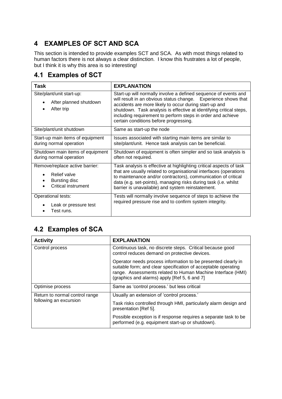# **4 EXAMPLES OF SCT AND SCA**

This section is intended to provide examples SCT and SCA. As with most things related to human factors there is not always a clear distinction. I know this frustrates a lot of people, but I think it is why this area is so interesting!

## **4.1 Examples of SCT**

| Task                                                                                   | <b>EXPLANATION</b>                                                                                                                                                                                                                                                                                                                                                          |
|----------------------------------------------------------------------------------------|-----------------------------------------------------------------------------------------------------------------------------------------------------------------------------------------------------------------------------------------------------------------------------------------------------------------------------------------------------------------------------|
| Site/plant/unit start-up:<br>After planned shutdown<br>After trip                      | Start-up will normally involve a defined sequence of events and<br>will result in an obvious status change. Experience shows that<br>accidents are more likely to occur during start-up and<br>shutdown. Task analysis is effective at identifying critical steps,<br>including requirement to perform steps in order and achieve<br>certain conditions before progressing. |
| Site/plant/unit shutdown                                                               | Same as start-up the node                                                                                                                                                                                                                                                                                                                                                   |
| Start-up main items of equipment<br>during normal operation                            | Issues associated with starting main items are similar to<br>site/plant/unit. Hence task analysis can be beneficial.                                                                                                                                                                                                                                                        |
| Shutdown main items of equipment<br>during normal operation                            | Shutdown of equipment is often simpler and so task analysis is<br>often not required.                                                                                                                                                                                                                                                                                       |
| Remove/replace active barrier:<br>Relief valve<br>Bursting disc<br>Critical instrument | Task analysis is effective at highlighting critical aspects of task<br>that are usually related to organisational interfaces (operations<br>to maintenance and/or contractors), communication of critical<br>data (e.g. set-points), managing risks during task (i.e. whilst<br>barrier is unavailable) and system reinstatement.                                           |
| Operational tests:<br>Leak or pressure test<br>Test runs.                              | Tests will normally involve sequence of steps to achieve the<br>required pressure rise and to confirm system integrity.                                                                                                                                                                                                                                                     |

# **4.2 Examples of SCA**

| <b>Activity</b>                                          | <b>EXPLANATION</b>                                                                                                                                                                                                                             |
|----------------------------------------------------------|------------------------------------------------------------------------------------------------------------------------------------------------------------------------------------------------------------------------------------------------|
| Control process                                          | Continuous task, no discrete steps. Critical because good<br>control reduces demand on protective devices.                                                                                                                                     |
|                                                          | Operator needs process information to be presented clearly in<br>suitable form; and clear specification of acceptable operating<br>range. Assessments related to Human Machine Interface (HMI)<br>(graphics and alarms) apply [Ref 5, 6 and 7] |
| Optimise process                                         | Same as 'control process.' but less critical                                                                                                                                                                                                   |
| Return to normal control range<br>following an excursion | Usually an extension of 'control process.'                                                                                                                                                                                                     |
|                                                          | Task risks controlled through HMI, particularly alarm design and<br>presentation [Ref 5].                                                                                                                                                      |
|                                                          | Possible exception is if response requires a separate task to be<br>performed (e.g. equipment start-up or shutdown).                                                                                                                           |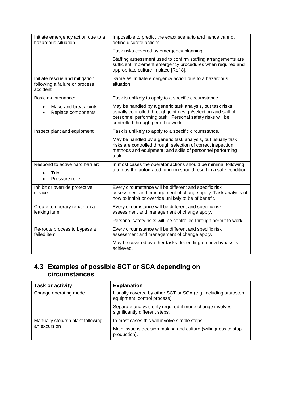| Initiate emergency action due to a<br>hazardous situation                    | Impossible to predict the exact scenario and hence cannot<br>define discrete actions.                                                                                                                                         |
|------------------------------------------------------------------------------|-------------------------------------------------------------------------------------------------------------------------------------------------------------------------------------------------------------------------------|
|                                                                              | Task risks covered by emergency planning.                                                                                                                                                                                     |
|                                                                              | Staffing assessment used to confirm staffing arrangements are<br>sufficient implement emergency procedures when required and<br>appropriate culture in place [Ref 8].                                                         |
| Initiate rescue and mitigation<br>following a failure or process<br>accident | Same as 'Initiate emergency action due to a hazardous<br>situation.'                                                                                                                                                          |
| Basic maintenance:                                                           | Task is unlikely to apply to a specific circumstance.                                                                                                                                                                         |
| Make and break joints<br>$\bullet$<br>Replace components                     | May be handled by a generic task analysis, but task risks<br>usually controlled through joint design/selection and skill of<br>personnel performing task. Personal safety risks will be<br>controlled through permit to work. |
| Inspect plant and equipment                                                  | Task is unlikely to apply to a specific circumstance.                                                                                                                                                                         |
|                                                                              | May be handled by a generic task analysis, but usually task<br>risks are controlled through selection of correct inspection<br>methods and equipment; and skills of personnel performing<br>task.                             |
| Respond to active hard barrier:<br>Trip<br>Pressure relief                   | In most cases the operator actions should be minimal following<br>a trip as the automated function should result in a safe condition                                                                                          |
| Inhibit or override protective<br>device                                     | Every circumstance will be different and specific risk<br>assessment and management of change apply. Task analysis of<br>how to inhibit or override unlikely to be of benefit.                                                |
| Create temporary repair on a<br>leaking item                                 | Every circumstance will be different and specific risk<br>assessment and management of change apply.                                                                                                                          |
|                                                                              | Personal safety risks will be controlled through permit to work                                                                                                                                                               |
| Re-route process to bypass a<br>failed item                                  | Every circumstance will be different and specific risk<br>assessment and management of change apply.                                                                                                                          |
|                                                                              | May be covered by other tasks depending on how bypass is<br>achieved.                                                                                                                                                         |

## **4.3 Examples of possible SCT or SCA depending on circumstances**

| <b>Task or activity</b>                            | <b>Explanation</b>                                                                            |
|----------------------------------------------------|-----------------------------------------------------------------------------------------------|
| Change operating mode                              | Usually covered by other SCT or SCA (e.g. including start/stop<br>equipment, control process) |
|                                                    | Separate analysis only required if mode change involves<br>significantly different steps.     |
| Manually stop/trip plant following<br>an excursion | In most cases this will involve simple steps.                                                 |
|                                                    | Main issue is decision making and culture (willingness to stop<br>production).                |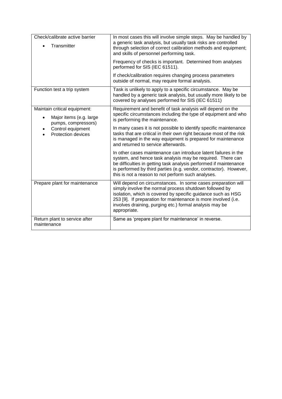| Check/calibrate active barrier<br>Transmitter                                                                                                 | In most cases this will involve simple steps. May be handled by<br>a generic task analysis, but usually task risks are controlled<br>through selection of correct calibration methods and equipment;<br>and skills of personnel performing task.                                                                                    |
|-----------------------------------------------------------------------------------------------------------------------------------------------|-------------------------------------------------------------------------------------------------------------------------------------------------------------------------------------------------------------------------------------------------------------------------------------------------------------------------------------|
|                                                                                                                                               | Frequency of checks is important. Determined from analyses<br>performed for SIS (IEC 61511).                                                                                                                                                                                                                                        |
|                                                                                                                                               | If check/calibration requires changing process parameters<br>outside of normal, may require formal analysis.                                                                                                                                                                                                                        |
| Function test a trip system                                                                                                                   | Task is unlikely to apply to a specific circumstance. May be<br>handled by a generic task analysis, but usually more likely to be<br>covered by analyses performed for SIS (IEC 61511)                                                                                                                                              |
| Maintain critical equipment:<br>Major items (e.g. large<br>$\bullet$<br>pumps, compressors)<br>Control equipment<br><b>Protection devices</b> | Requirement and benefit of task analysis will depend on the<br>specific circumstances including the type of equipment and who<br>is performing the maintenance.                                                                                                                                                                     |
|                                                                                                                                               | In many cases it is not possible to identify specific maintenance<br>tasks that are critical in their own right because most of the risk<br>is managed in the way equipment is prepared for maintenance<br>and returned to service afterwards.                                                                                      |
|                                                                                                                                               | In other cases maintenance can introduce latent failures in the<br>system, and hence task analysis may be required. There can<br>be difficulties in getting task analysis performed if maintenance<br>is performed by third parties (e.g. vendor, contractor). However,<br>this is not a reason to not perform such analyses.       |
| Prepare plant for maintenance                                                                                                                 | Will depend on circumstances. In some cases preparation will<br>simply involve the normal process shutdown followed by<br>isolation, which is covered by specific guidance such as HSG<br>253 [9]. If preparation for maintenance is more involved (i.e.<br>involves draining, purging etc.) formal analysis may be<br>appropriate. |
| Return plant to service after<br>maintenance                                                                                                  | Same as 'prepare plant for maintenance' in reverse.                                                                                                                                                                                                                                                                                 |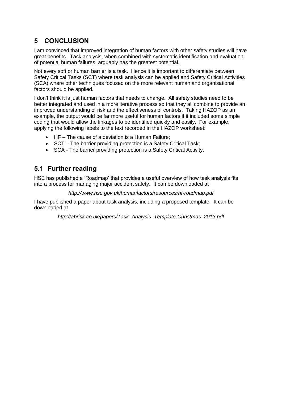# **5 CONCLUSION**

I am convinced that improved integration of human factors with other safety studies will have great benefits. Task analysis, when combined with systematic identification and evaluation of potential human failures, arguably has the greatest potential.

Not every soft or human barrier is a task. Hence it is important to differentiate between Safety Critical Tasks (SCT) where task analysis can be applied and Safety Critical Activities (SCA) where other techniques focused on the more relevant human and organisational factors should be applied.

I don't think it is just human factors that needs to change. All safety studies need to be better integrated and used in a more iterative process so that they all combine to provide an improved understanding of risk and the effectiveness of controls. Taking HAZOP as an example, the output would be far more useful for human factors if it included some simple coding that would allow the linkages to be identified quickly and easily. For example, applying the following labels to the text recorded in the HAZOP worksheet:

- HF The cause of a deviation is a Human Failure;
- SCT The barrier providing protection is a Safety Critical Task:
- SCA The barrier providing protection is a Safety Critical Activity.

## **5.1 Further reading**

HSE has published a 'Roadmap' that provides a useful overview of how task analysis fits into a process for managing major accident safety. It can be downloaded at

*http://www.hse.gov.uk/humanfactors/resources/hf-roadmap.pdf*

I have published a paper about task analysis, including a proposed template. It can be downloaded at

*http://abrisk.co.uk/papers/Task\_Analysis\_Template-Christmas\_2013.pdf*